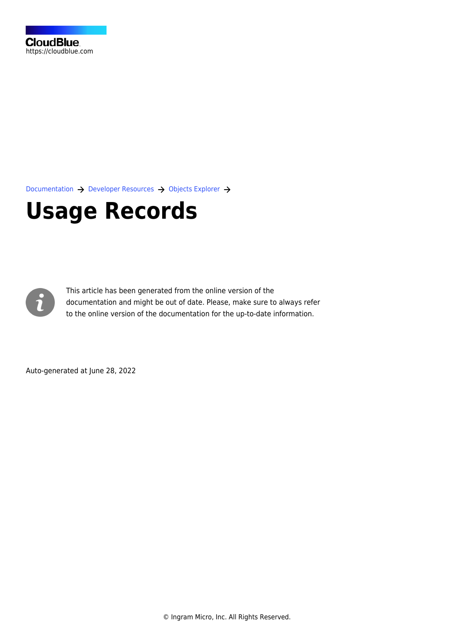[Documentation](https://connect.cloudblue.com/documentation)  $\rightarrow$  [Developer Resources](https://connect.cloudblue.com/community/developers/)  $\rightarrow$  [Objects Explorer](https://connect.cloudblue.com/community/developers/objects/)  $\rightarrow$ 

# **[Usage Records](https://connect.cloudblue.com/community/developers/objects/usage-records/)**



This article has been generated from the online version of the documentation and might be out of date. Please, make sure to always refer to the online version of the documentation for the up-to-date information.

Auto-generated at June 28, 2022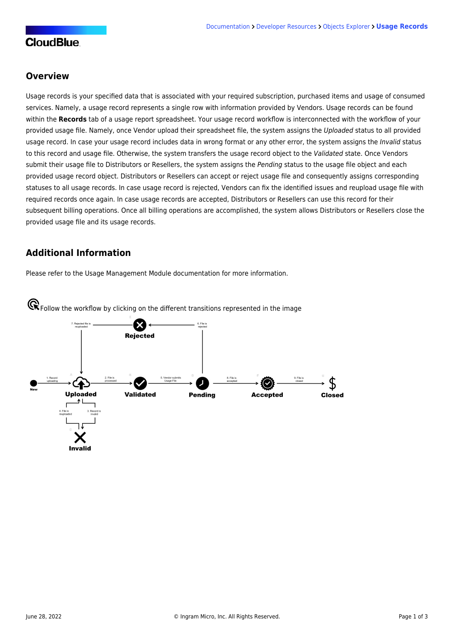#### **Overview**

Usage records is your specified data that is associated with your required subscription, purchased items and usage of consumed services. Namely, a usage record represents a single row with information provided by Vendors. Usage records can be found within the **Records** tab of a usage report spreadsheet. Your usage record workflow is interconnected with the workflow of your provided usage file. Namely, once Vendor upload their spreadsheet file, the system assigns the Uploaded status to all provided usage record. In case your usage record includes data in wrong format or any other error, the system assigns the Invalid status to this record and usage file. Otherwise, the system transfers the usage record object to the Validated state. Once Vendors submit their usage file to Distributors or Resellers, the system assigns the Pending status to the usage file object and each provided usage record object. Distributors or Resellers can accept or reject usage file and consequently assigns corresponding statuses to all usage records. In case usage record is rejected, Vendors can fix the identified issues and reupload usage file with required records once again. In case usage records are accepted, Distributors or Resellers can use this record for their subsequent billing operations. Once all billing operations are accomplished, the system allows Distributors or Resellers close the provided usage file and its usage records.

### **Additional Information**

Please refer to the [Usage Management Module](https://connect.cloudblue.com/community/modules/usage/) documentation for more information.

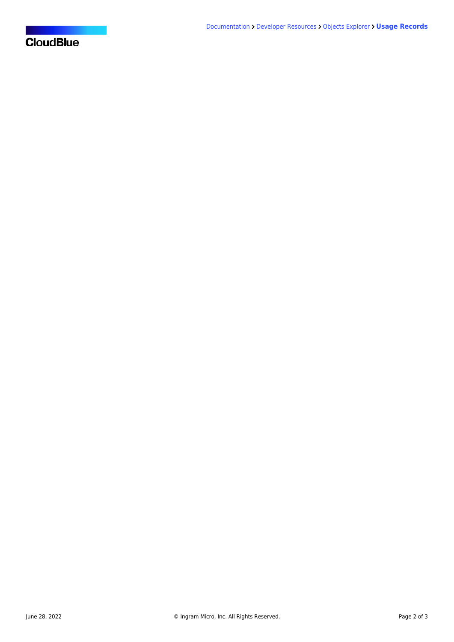## **CloudBlue**